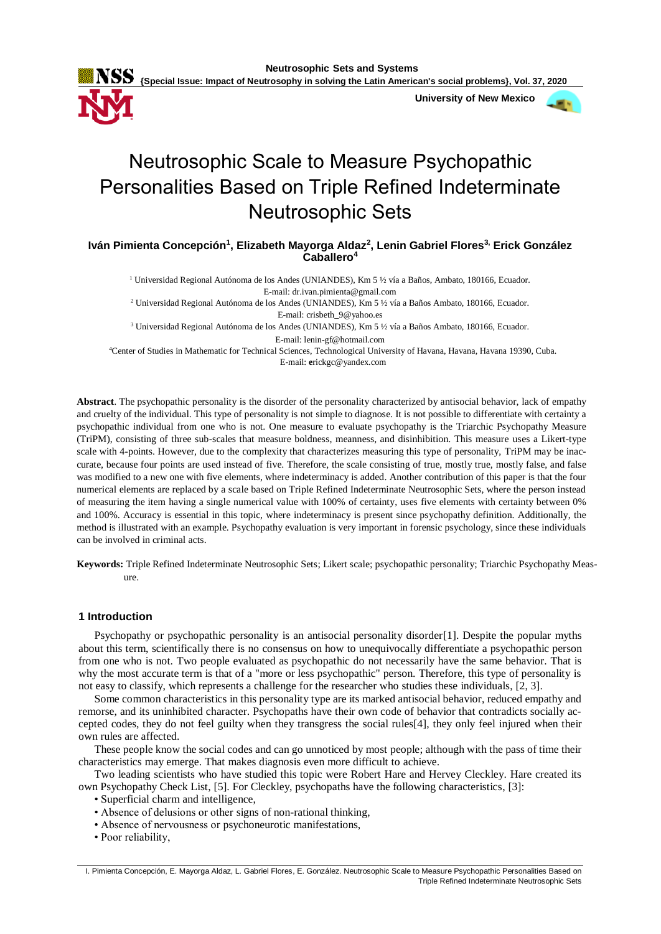

 **University of New Mexico**



# Neutrosophic Scale to Measure Psychopathic Personalities Based on Triple Refined Indeterminate Neutrosophic Sets

**Iván Pimienta Concepción<sup>1</sup> , Elizabeth Mayorga Aldaz<sup>2</sup> , Lenin Gabriel Flores3, Erick González Caballero<sup>4</sup>**

<sup>1</sup> Universidad Regional Autónoma de los Andes (UNIANDES), Km 5 ½ vía a Baños, Ambato, 180166, Ecuador. E-mail: dr.ivan.pimienta@gmail.com

<sup>2</sup> Universidad Regional Autónoma de los Andes (UNIANDES), Km 5 ½ vía a Baños Ambato, 180166, Ecuador. E-mail: crisbeth\_9@yahoo.es

<sup>3</sup> Universidad Regional Autónoma de los Andes (UNIANDES), Km 5 ½ vía a Baños Ambato, 180166, Ecuador.

E-mail: lenin-gf@hotmail.com

<sup>4</sup>Center of Studies in Mathematic for Technical Sciences, Technological University of Havana, Havana, Havana 19390, Cuba. E-mail: **e**rickgc@yandex.com

**Abstract**. The psychopathic personality is the disorder of the personality characterized by antisocial behavior, lack of empathy and cruelty of the individual. This type of personality is not simple to diagnose. It is not possible to differentiate with certainty a psychopathic individual from one who is not. One measure to evaluate psychopathy is the Triarchic Psychopathy Measure (TriPM), consisting of three sub-scales that measure boldness, meanness, and disinhibition. This measure uses a Likert-type scale with 4-points. However, due to the complexity that characterizes measuring this type of personality, TriPM may be inaccurate, because four points are used instead of five. Therefore, the scale consisting of true, mostly true, mostly false, and false was modified to a new one with five elements, where indeterminacy is added. Another contribution of this paper is that the four numerical elements are replaced by a scale based on Triple Refined Indeterminate Neutrosophic Sets, where the person instead of measuring the item having a single numerical value with 100% of certainty, uses five elements with certainty between 0% and 100%. Accuracy is essential in this topic, where indeterminacy is present since psychopathy definition. Additionally, the method is illustrated with an example. Psychopathy evaluation is very important in forensic psychology, since these individuals can be involved in criminal acts.

**Keywords:** Triple Refined Indeterminate Neutrosophic Sets; Likert scale; psychopathic personality; Triarchic Psychopathy Measure.

## **1 Introduction**

Psychopathy or psychopathic personality is an antisocial personality disorder[1]. Despite the popular myths about this term, scientifically there is no consensus on how to unequivocally differentiate a psychopathic person from one who is not. Two people evaluated as psychopathic do not necessarily have the same behavior. That is why the most accurate term is that of a "more or less psychopathic" person. Therefore, this type of personality is not easy to classify, which represents a challenge for the researcher who studies these individuals, [2, 3].

Some common characteristics in this personality type are its marked antisocial behavior, reduced empathy and remorse, and its uninhibited character. Psychopaths have their own code of behavior that contradicts socially accepted codes, they do not feel guilty when they transgress the social rules[4], they only feel injured when their own rules are affected.

These people know the social codes and can go unnoticed by most people; although with the pass of time their characteristics may emerge. That makes diagnosis even more difficult to achieve.

Two leading scientists who have studied this topic were Robert Hare and Hervey Cleckley. Hare created its own Psychopathy Check List, [5]. For Cleckley, psychopaths have the following characteristics, [3]:

- Superficial charm and intelligence,
- Absence of delusions or other signs of non-rational thinking,
- Absence of nervousness or psychoneurotic manifestations,
- Poor reliability,

I. Pimienta Concepción, E. Mayorga Aldaz, L. Gabriel Flores, E. González. Neutrosophic Scale to Measure Psychopathic Personalities Based on Triple Refined Indeterminate Neutrosophic Sets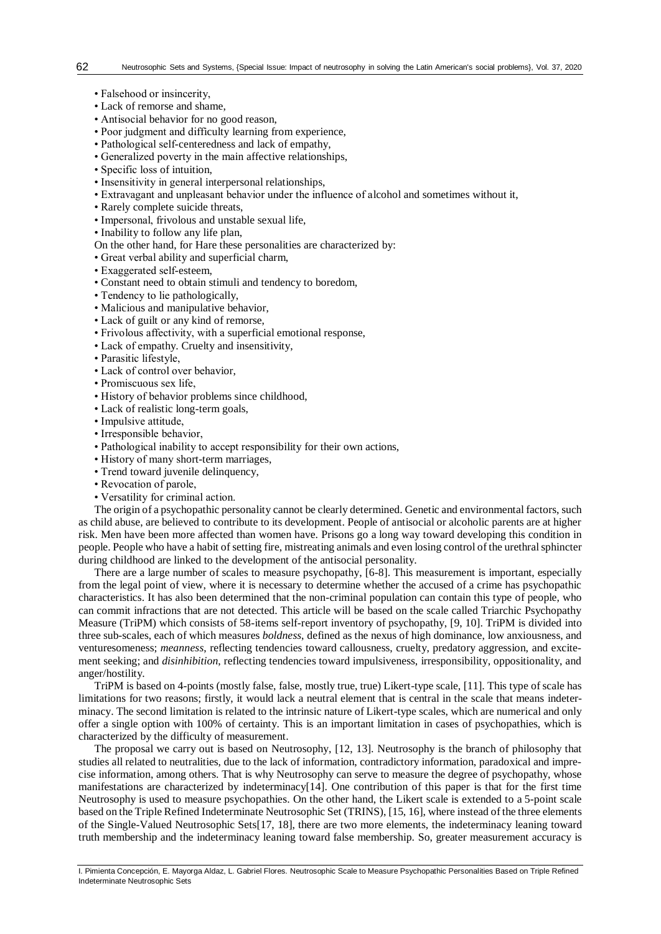- Falsehood or insincerity,
- Lack of remorse and shame,
- Antisocial behavior for no good reason,
- Poor judgment and difficulty learning from experience,
- Pathological self-centeredness and lack of empathy,
- Generalized poverty in the main affective relationships,
- Specific loss of intuition,
- Insensitivity in general interpersonal relationships,
- Extravagant and unpleasant behavior under the influence of alcohol and sometimes without it,
- Rarely complete suicide threats,
- Impersonal, frivolous and unstable sexual life,
- Inability to follow any life plan,
- On the other hand, for Hare these personalities are characterized by:
- Great verbal ability and superficial charm,
- Exaggerated self-esteem,
- Constant need to obtain stimuli and tendency to boredom,
- Tendency to lie pathologically,
- Malicious and manipulative behavior,
- Lack of guilt or any kind of remorse,
- Frivolous affectivity, with a superficial emotional response,
- Lack of empathy. Cruelty and insensitivity,
- Parasitic lifestyle,
- Lack of control over behavior,
- Promiscuous sex life,
- History of behavior problems since childhood,
- Lack of realistic long-term goals,
- Impulsive attitude,
- Irresponsible behavior,
- Pathological inability to accept responsibility for their own actions,
- History of many short-term marriages,
- Trend toward juvenile delinquency,
- Revocation of parole,
- Versatility for criminal action.

The origin of a psychopathic personality cannot be clearly determined. Genetic and environmental factors, such as child abuse, are believed to contribute to its development. People of antisocial or alcoholic parents are at higher risk. Men have been more affected than women have. Prisons go a long way toward developing this condition in people. People who have a habit of setting fire, mistreating animals and even losing control of the urethral sphincter during childhood are linked to the development of the antisocial personality.

There are a large number of scales to measure psychopathy, [6-8]. This measurement is important, especially from the legal point of view, where it is necessary to determine whether the accused of a crime has psychopathic characteristics. It has also been determined that the non-criminal population can contain this type of people, who can commit infractions that are not detected. This article will be based on the scale called Triarchic Psychopathy Measure (TriPM) which consists of 58-items self-report inventory of psychopathy, [9, 10]. TriPM is divided into three sub-scales, each of which measures *boldness*, defined as the nexus of high dominance, low anxiousness, and venturesomeness; *meanness*, reflecting tendencies toward callousness, cruelty, predatory aggression, and excitement seeking; and *disinhibition*, reflecting tendencies toward impulsiveness, irresponsibility, oppositionality, and anger/hostility.

TriPM is based on 4-points (mostly false, false, mostly true, true) Likert-type scale, [11]. This type of scale has limitations for two reasons; firstly, it would lack a neutral element that is central in the scale that means indeterminacy. The second limitation is related to the intrinsic nature of Likert-type scales, which are numerical and only offer a single option with 100% of certainty. This is an important limitation in cases of psychopathies, which is characterized by the difficulty of measurement.

The proposal we carry out is based on Neutrosophy, [12, 13]. Neutrosophy is the branch of philosophy that studies all related to neutralities, due to the lack of information, contradictory information, paradoxical and imprecise information, among others. That is why Neutrosophy can serve to measure the degree of psychopathy, whose manifestations are characterized by indeterminacy[14]. One contribution of this paper is that for the first time Neutrosophy is used to measure psychopathies. On the other hand, the Likert scale is extended to a 5-point scale based on the Triple Refined Indeterminate Neutrosophic Set (TRINS), [15, 16], where instead of the three elements of the Single-Valued Neutrosophic Sets[17, 18], there are two more elements, the indeterminacy leaning toward truth membership and the indeterminacy leaning toward false membership. So, greater measurement accuracy is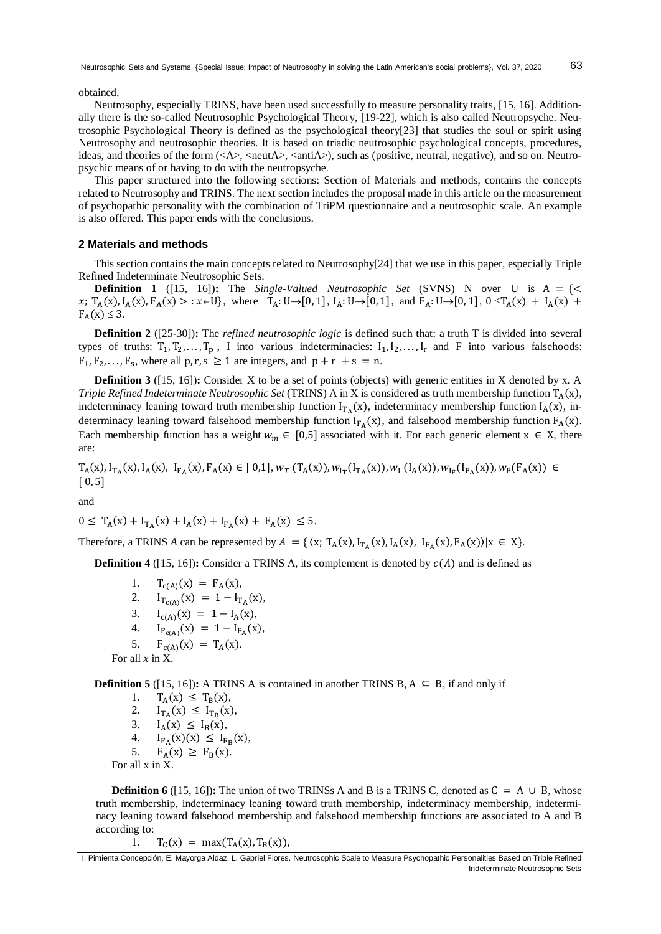63

obtained.

Neutrosophy, especially TRINS, have been used successfully to measure personality traits, [15, 16]. Additionally there is the so-called Neutrosophic Psychological Theory, [19-22], which is also called Neutropsyche. Neutrosophic Psychological Theory is defined as the psychological theory[23] that studies the soul or spirit using Neutrosophy and neutrosophic theories. It is based on triadic neutrosophic psychological concepts, procedures, ideas, and theories of the form  $(\langle A \rangle, \langle \text{neut} A \rangle, \langle \text{anti} A \rangle)$ , such as (positive, neutral, negative), and so on. Neutropsychic means of or having to do with the neutropsyche.

This paper structured into the following sections: Section of Materials and methods, contains the concepts related to Neutrosophy and TRINS. The next section includes the proposal made in this article on the measurement of psychopathic personality with the combination of TriPM questionnaire and a neutrosophic scale. An example is also offered. This paper ends with the conclusions.

### **2 Materials and methods**

This section contains the main concepts related to Neutrosophy[24] that we use in this paper, especially Triple Refined Indeterminate Neutrosophic Sets.

**Definition 1** ([15, 16])**:** The *Single-Valued Neutrosophic Set* (SVNS) N over U is  $A = \{ \leq \}$  $x; T_A(x), I_A(x), F_A(x) > : x \in U$ , where  $T_A: U \to [0, 1], I_A: U \to [0, 1],$  and  $F_A: U \to [0, 1], 0 \le T_A(x) + I_A(x) + I_A(x)$  $F_A(x) \leq 3$ .

**Definition 2** ([25-30])**:** The *refined neutrosophic logic* is defined such that: a truth T is divided into several types of truths:  $T_1, T_2, \ldots, T_p$ , I into various indeterminacies:  $I_1, I_2, \ldots, I_r$  and F into various falsehoods:  $F_1, F_2, \ldots, F_s$ , where all p, r, s  $\geq 1$  are integers, and  $p + r + s = n$ .

**Definition 3** ([15, 16]): Consider X to be a set of points (objects) with generic entities in X denoted by x. A *Triple Refined Indeterminate Neutrosophic Set* (TRINS) A in X is considered as truth membership function  $T_A(x)$ , indeterminacy leaning toward truth membership function  $I_{TA}(x)$ , indeterminacy membership function  $I_A(x)$ , indeterminacy leaning toward falsehood membership function  $I_{F_A}(x)$ , and falsehood membership function  $F_A(x)$ . Each membership function has a weight  $w_m \in [0,5]$  associated with it. For each generic element  $x \in X$ , there are:

 $T_A(x), I_{T_A}(x), I_A(x), I_{F_A}(x), F_A(x) \in [0,1], w_T(T_A(x)), w_{1_T}(I_{T_A}(x)), w_1(I_A(x)), w_{1_F}(I_{F_A}(x)), w_F(F_A(x)) \in [0,1], w_{1_T}(I_{T_A}(x)), w_{1_T}(I_{T_A}(x)), w_{1_T}(I_{T_A}(x)), w_{1_T}(I_{T_A}(x))$  $[0, 5]$ 

and

$$
0 \leq T_A(x) + I_{T_A}(x) + I_A(x) + I_{F_A}(x) + F_A(x) \leq 5.
$$

Therefore, a TRINS *A* can be represented by  $A = \{ \langle x, T_A(x), I_{T_A}(x), I_A(x), I_{F_A}(x), F_A(x) \rangle | x \in X \}.$ 

**Definition 4** ([15, 16])**:** Consider a TRINS A, its complement is denoted by  $c(A)$  and is defined as

1.  $T_{c(A)}(x) = F_A(x)$ , 2.  $I_{T_{c(A)}}(x) = 1 - I_{T_A}(x),$ 3.  $I_{c(A)}(x) = 1 - I_A(x)$ , 4.  $I_{F_{c(A)}}(x) = 1 - I_{F_A}(x),$ 5.  $F_{c(A)}(x) = T_A(x)$ . For all *x* in X.

**Definition 5** ([15, 16])**:** A TRINS A is contained in another TRINS B,  $A \subseteq B$ , if and only if

1.  $T_A(x) \leq T_B(x)$ ,<br>2.  $I_{T_A}(x) \leq I_{T_B}(x)$ 

2.  $I_{T_A}(x) \leq I_{T_B}(x)$ ,

$$
3. \qquad I_A(x) \leq I_B(x),
$$

- 4.  $I_{F_A}(x)(x) \leq I_{F_B}(x),$
- 5.  $F_A(x) \geq F_B(x)$ .
- 

For all x in X.

**Definition 6** ([15, 16])**:** The union of two TRINSS A and B is a TRINS C, denoted as  $C = A \cup B$ , whose truth membership, indeterminacy leaning toward truth membership, indeterminacy membership, indeterminacy leaning toward falsehood membership and falsehood membership functions are associated to A and B according to:

1. 
$$
T_C(x) = max(T_A(x), T_B(x)),
$$

I. Pimienta Concepción, E. Mayorga Aldaz, L. Gabriel Flores. Neutrosophic Scale to Measure Psychopathic Personalities Based on Triple Refined Indeterminate Neutrosophic Sets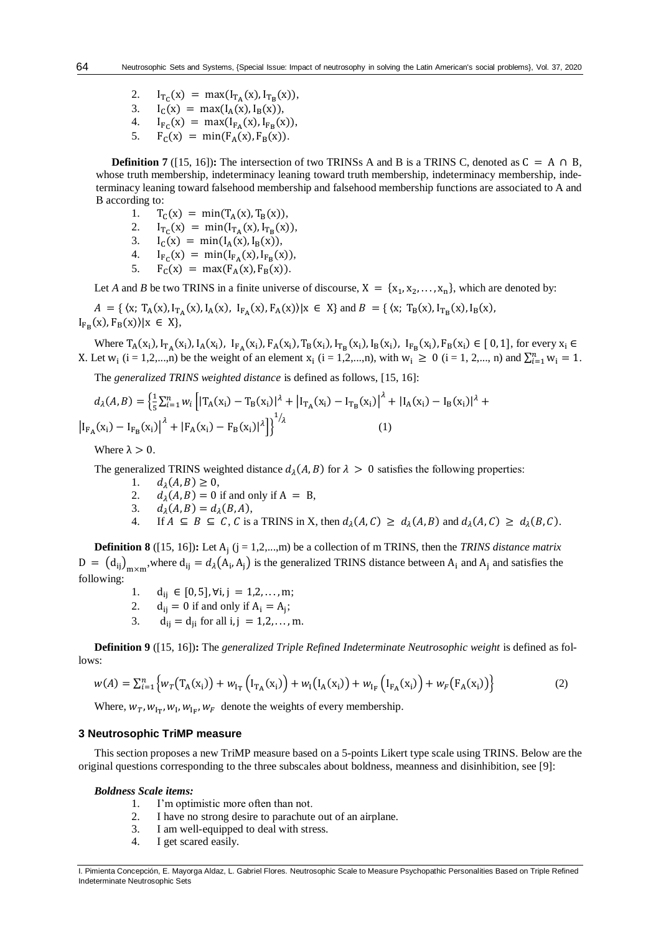- 2.  $I_{T_C}(x) = \max(I_{T_A}(x), I_{T_B}(x)),$
- 3.  $I_C(x) = max(I_A(x), I_B(x)),$
- $\frac{4}{5}$ .  $(x) = max(I_{F_A}(x), I_{F_B}(x)),$
- $F_C(x) = min(F_A(x), F_B(x)).$

**Definition 7** ([15, 16])**:** The intersection of two TRINSS A and B is a TRINS C, denoted as  $C = A \cap B$ , whose truth membership, indeterminacy leaning toward truth membership, indeterminacy membership, indeterminacy leaning toward falsehood membership and falsehood membership functions are associated to A and B according to:

- 1.  $T_C(x) = min(T_A(x), T_B(x)),$
- 2.  $I_{T_C}(x) = min(I_{T_A}(x), I_{T_B}(x)),$
- 3.  $I_{C}(x) = min(I_{A}(x), I_{B}(x)),$
- 4.  $I_{F_C}(x) = min(I_{F_A}(x), I_{F_B}(x)),$
- 5.  $F_C(x) = max(F_A(x), F_B(x)).$

Let *A* and *B* be two TRINS in a finite universe of discourse,  $X = \{x_1, x_2, ..., x_n\}$ , which are denoted by:

 $A = \{ (x; T_A(x), I_{T_A}(x), I_A(x), I_{F_A}(x), F_A(x)) | x \in X \}$  and  $B = \{ (x; T_B(x), I_{T_B}(x), I_B(x), I_{F_A}(x), I_{F_A}(x), I_{F_A}(x), I_{F_A}(x) \}$  $I_{F_B}(x), F_B(x) \mid x \in X$ ,

Where  $T_A(x_i)$ ,  $I_{T_A}(x_i)$ ,  $I_A(x_i)$ ,  $I_{F_A}(x_i)$ ,  $F_A(x_i)$ ,  $T_B(x_i)$ ,  $I_{T_B}(x_i)$ ,  $I_{F_B}(x_i)$ ,  $I_{F_B}(x_i) \in [0,1]$ , for every  $x_i \in$ X. Let  $w_i$  (i = 1,2,...,n) be the weight of an element  $x_i$  (i = 1,2,...,n), with  $w_i \ge 0$  (i = 1, 2,..., n) and  $\sum_{i=1}^{n} w_i = 1$ .

The *generalized TRINS weighted distance* is defined as follows, [15, 16]:

$$
d_{\lambda}(A, B) = \left\{ \frac{1}{5} \sum_{i=1}^{n} w_{i} \left[ |T_{A}(x_{i}) - T_{B}(x_{i})|^{2} + |I_{T_{A}}(x_{i}) - I_{T_{B}}(x_{i})|^{2} + |I_{A}(x_{i}) - I_{B}(x_{i})|^{2} + |I_{F_{A}}(x_{i}) - I_{F_{B}}(x_{i})|^{2} + |F_{A}(x_{i}) - F_{B}(x_{i})|^{2} \right] \right\}^{1/2}
$$
\n(1)

Where  $\lambda > 0$ .

64

The generalized TRINS weighted distance  $d_{\lambda}(A, B)$  for  $\lambda > 0$  satisfies the following properties:

- 1.  $d_{\lambda}(A, B) \geq 0$ ,
- 2.  $d_{\lambda}(A, B) = 0$  if and only if  $A = B$ ,
- 3.  $d_{\lambda}(A, B) = d_{\lambda}(B, A),$
- 4. If  $A \subseteq B \subseteq C$ , C is a TRINS in X, then  $d_{\lambda}(A, C) \geq d_{\lambda}(A, B)$  and  $d_{\lambda}(A, C) \geq d_{\lambda}(B, C)$ .

**Definition 8** ([15, 16]): Let A<sub>j</sub> (j = 1,2,...,m) be a collection of m TRINS, then the *TRINS distance matrix*  $D = (d_{ij})_{m \times m}$ , where  $d_{ij} = d_{\lambda}(A_i, A_j)$  is the generalized TRINS distance between  $A_i$  and  $A_j$  and satisfies the following:

- 1.  $d_{ij} \in [0,5], \forall i, j = 1,2,...,m;$
- 2.  $d_{ij} = 0$  if and only if  $A_i = A_j$ ;
- $d_{ij} = d_{ji}$  for all i, j = 1,2,..., m.

**Definition 9** ([15, 16])**:** The *generalized Triple Refined Indeterminate Neutrosophic weight* is defined as follows:

$$
w(A) = \sum_{i=1}^{n} \left\{ w_T(T_A(x_i)) + w_{1T} (I_{T_A}(x_i)) + w_1(I_A(x_i)) + w_{1F} (I_{F_A}(x_i)) + w_F(F_A(x_i)) \right\}
$$
(2)

Where,  $w_T$ ,  $w_{I_T}$ ,  $w_I$ ,  $w_{I_F}$ ,  $w_F$  denote the weights of every membership.

#### **3 Neutrosophic TriMP measure**

This section proposes a new TriMP measure based on a 5-points Likert type scale using TRINS. Below are the original questions corresponding to the three subscales about boldness, meanness and disinhibition, see [9]:

#### *Boldness Scale items:*

- 1. I'm optimistic more often than not.
- 2. I have no strong desire to parachute out of an airplane.
- 3. I am well-equipped to deal with stress.
- 4. I get scared easily.

I. Pimienta Concepción, E. Mayorga Aldaz, L. Gabriel Flores. Neutrosophic Scale to Measure Psychopathic Personalities Based on Triple Refined Indeterminate Neutrosophic Sets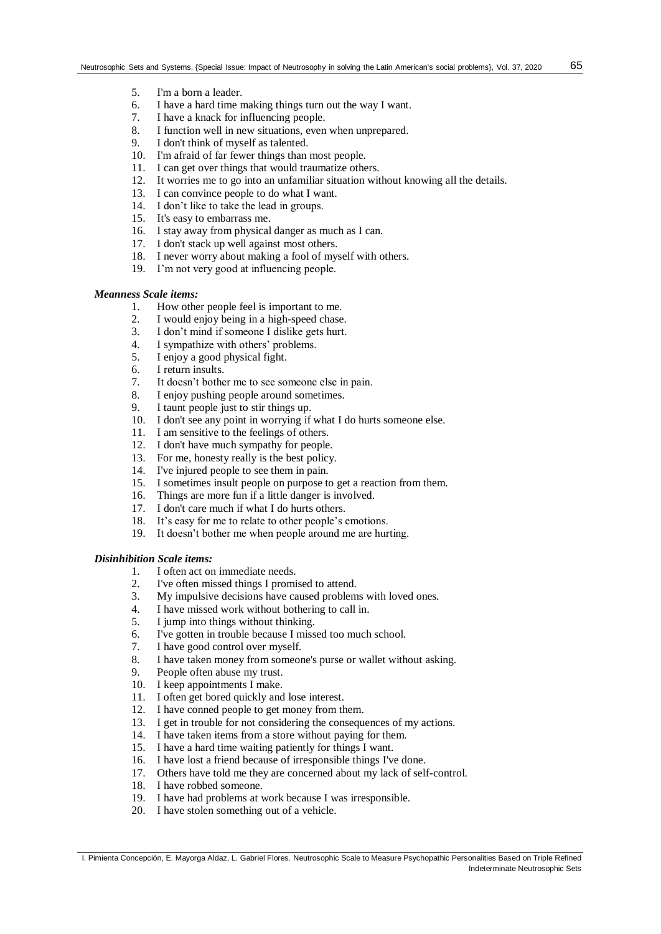- 5. I'm a born a leader.
- 6. I have a hard time making things turn out the way I want.<br>7. I have a knack for influencing people.
- 7. I have a knack for influencing people.<br>8. I function well in new situations, even
- 8. I function well in new situations, even when unprepared.<br>9. I don't think of myself as talented.
- I don't think of myself as talented.
- 10. I'm afraid of far fewer things than most people.
- 11. I can get over things that would traumatize others.
- 12. It worries me to go into an unfamiliar situation without knowing all the details.
- 13. I can convince people to do what I want.
- 14. I don't like to take the lead in groups.
- 15. It's easy to embarrass me.
- 16. I stay away from physical danger as much as I can.
- 17. I don't stack up well against most others.
- 18. I never worry about making a fool of myself with others.
- 19. I'm not very good at influencing people.

#### *Meanness Scale items:*

- 1. How other people feel is important to me.
- 2. I would enjoy being in a high-speed chase.
- 3. I don't mind if someone I dislike gets hurt.
- 4. I sympathize with others' problems.
- 5. I enjoy a good physical fight.
- 6. I return insults.
- 7. It doesn't bother me to see someone else in pain.
- 8. I enjoy pushing people around sometimes.
- 9. I taunt people just to stir things up.
- 10. I don't see any point in worrying if what I do hurts someone else.
- 11. I am sensitive to the feelings of others.
- 12. I don't have much sympathy for people.
- 13. For me, honesty really is the best policy.
- 14. I've injured people to see them in pain.
- 15. I sometimes insult people on purpose to get a reaction from them.
- 16. Things are more fun if a little danger is involved.
- 17. I don't care much if what I do hurts others.
- 18. It's easy for me to relate to other people's emotions.
- 19. It doesn't bother me when people around me are hurting.

### *Disinhibition Scale items:*

- 1. I often act on immediate needs.
- 2. I've often missed things I promised to attend.
- 3. My impulsive decisions have caused problems with loved ones.
- 4. I have missed work without bothering to call in.
- 5. I jump into things without thinking.
- 6. I've gotten in trouble because I missed too much school.
- 7. I have good control over myself.
- 8. I have taken money from someone's purse or wallet without asking.
- 9. People often abuse my trust.
- 10. I keep appointments I make.
- 11. I often get bored quickly and lose interest.
- 12. I have conned people to get money from them.
- 13. I get in trouble for not considering the consequences of my actions.
- 14. I have taken items from a store without paying for them.
- 15. I have a hard time waiting patiently for things I want.
- 16. I have lost a friend because of irresponsible things I've done.
- 17. Others have told me they are concerned about my lack of self-control.
- 18. I have robbed someone.
- 19. I have had problems at work because I was irresponsible.
- 20. I have stolen something out of a vehicle.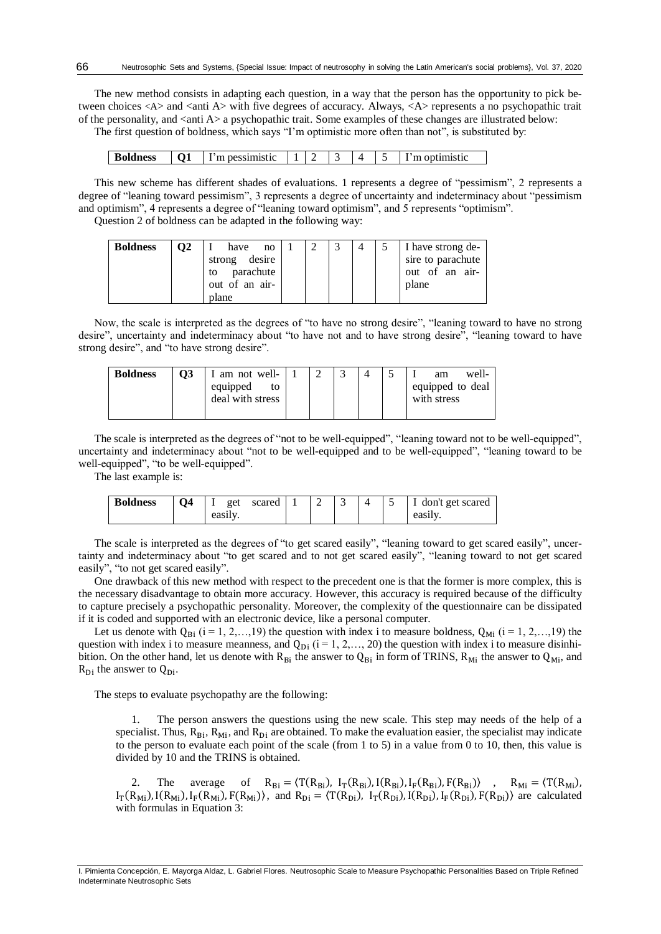The new method consists in adapting each question, in a way that the person has the opportunity to pick between choices  $\langle A \rangle$  and  $\langle A \rangle$  with five degrees of accuracy. Always,  $\langle A \rangle$  represents a no psychopathic trait of the personality, and <anti A> a psychopathic trait. Some examples of these changes are illustrated below: The first question of boldness, which says "I'm optimistic more often than not", is substituted by:

| <b>Boldness</b> |  | 'm pessimistic |  |  |  |  |  | m optimistic |
|-----------------|--|----------------|--|--|--|--|--|--------------|
|-----------------|--|----------------|--|--|--|--|--|--------------|

This new scheme has different shades of evaluations. 1 represents a degree of "pessimism", 2 represents a degree of "leaning toward pessimism", 3 represents a degree of uncertainty and indeterminacy about "pessimism and optimism", 4 represents a degree of "leaning toward optimism", and 5 represents "optimism".

Question 2 of boldness can be adapted in the following way:

| <b>Boldness</b> | <b>O2</b> | have<br>no                       |  |  | I have strong de-                   |
|-----------------|-----------|----------------------------------|--|--|-------------------------------------|
|                 |           | strong desire<br>parachute<br>to |  |  | sire to parachute<br>out of an air- |
|                 |           | out of an air-<br>plane          |  |  | plane                               |

Now, the scale is interpreted as the degrees of "to have no strong desire", "leaning toward to have no strong desire", uncertainty and indeterminacy about "to have not and to have strong desire", "leaning toward to have strong desire", and "to have strong desire".

| <b>Boldness</b> | <b>O3</b> | am not well-                       |  |  | well-<br>am                     |
|-----------------|-----------|------------------------------------|--|--|---------------------------------|
|                 |           | equipped<br>to<br>deal with stress |  |  | equipped to deal<br>with stress |

The scale is interpreted as the degrees of "not to be well-equipped", "leaning toward not to be well-equipped", uncertainty and indeterminacy about "not to be well-equipped and to be well-equipped", "leaning toward to be well-equipped", "to be well-equipped".

The last example is:

| <b>Boldness</b> | 04 | get     | scared |  |  | don't get scared |
|-----------------|----|---------|--------|--|--|------------------|
|                 |    | easily. |        |  |  | easily.          |

The scale is interpreted as the degrees of "to get scared easily", "leaning toward to get scared easily", uncertainty and indeterminacy about "to get scared and to not get scared easily", "leaning toward to not get scared easily", "to not get scared easily".

One drawback of this new method with respect to the precedent one is that the former is more complex, this is the necessary disadvantage to obtain more accuracy. However, this accuracy is required because of the difficulty to capture precisely a psychopathic personality. Moreover, the complexity of the questionnaire can be dissipated if it is coded and supported with an electronic device, like a personal computer.

Let us denote with  $Q_{\text{Bi}}$  (i = 1, 2,…, 19) the question with index i to measure boldness,  $Q_{\text{Mi}}$  (i = 1, 2,…, 19) the question with index i to measure meanness, and  $Q_{Di}$  (i = 1, 2, ..., 20) the question with index i to measure disinhibition. On the other hand, let us denote with  $R_{Bi}$  the answer to  $Q_{Bi}$  in form of TRINS,  $R_{Mi}$  the answer to  $Q_{Mi}$ , and  $R_{Di}$  the answer to  $Q_{Di}$ .

The steps to evaluate psychopathy are the following:

1. The person answers the questions using the new scale. This step may needs of the help of a specialist. Thus,  $R_{Bi}$ ,  $R_{Mi}$ , and  $R_{Di}$  are obtained. To make the evaluation easier, the specialist may indicate to the person to evaluate each point of the scale (from 1 to 5) in a value from 0 to 10, then, this value is divided by 10 and the TRINS is obtained.

2. The average of  $R_{Bi} = \langle T(R_{Bi}), I_T(R_{Bi}), I_F(R_{Bi}), I_F(R_{Bi}) \rangle$ ,  $R_{Mi} = \langle T(R_{Mi}),$  $I_T(R_{Mi})$ ,  $I(R_{Mi})$ ,  $I_F(R_{Mi})$ ,  $F(R_{Mi})$ , and  $R_{Di} = \langle T(R_{Di})$ ,  $I_T(R_{Di})$ ,  $I_F(R_{Di})$ ,  $I_F(R_{Di})$ ,  $F(R_{Di})$  are calculated with formulas in Equation 3:

66

I. Pimienta Concepción, E. Mayorga Aldaz, L. Gabriel Flores. Neutrosophic Scale to Measure Psychopathic Personalities Based on Triple Refined Indeterminate Neutrosophic Sets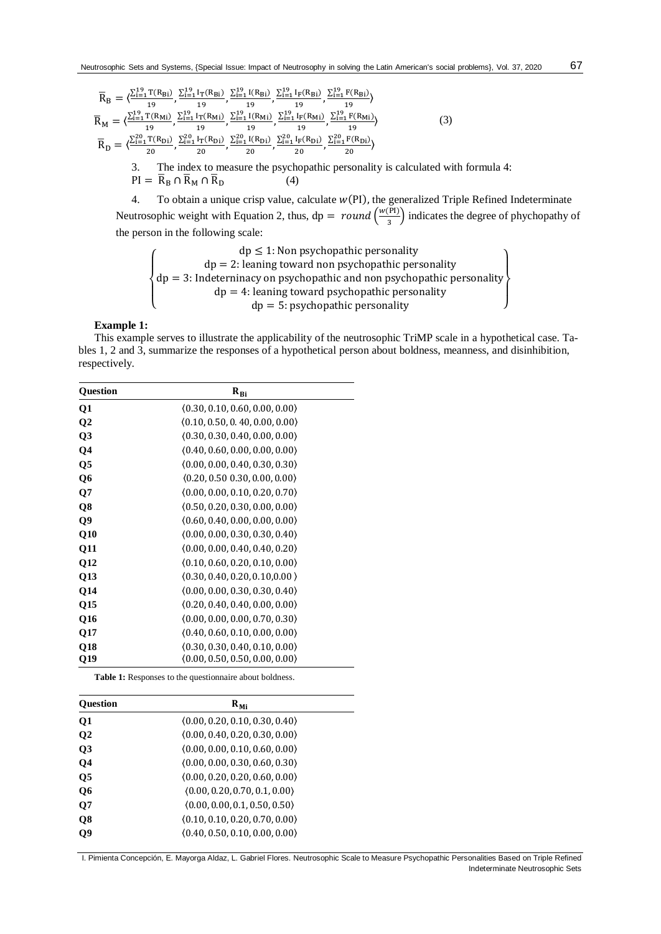$$
\overline{R}_{B} = \langle \frac{\sum_{i=1}^{19} T(R_{Bi})}{19}, \frac{\sum_{i=1}^{19} I_{T}(R_{Bi})}{19}, \frac{\sum_{i=1}^{19} I(R_{Bi})}{19}, \frac{\sum_{i=1}^{19} I_{F}(R_{Bi})}{19}, \frac{\sum_{i=1}^{19} I_{F}(R_{Bi})}{19} \rangle
$$
\n
$$
\overline{R}_{M} = \langle \frac{\sum_{i=1}^{19} T(R_{Mi})}{19}, \frac{\sum_{i=1}^{19} I_{T}(R_{Mi})}{19}, \frac{\sum_{i=1}^{19} I(R_{Mi})}{19}, \frac{\sum_{i=1}^{19} I_{F}(R_{Mi})}{19} \rangle, \frac{\sum_{i=1}^{19} F(R_{Mi})}{19} \rangle
$$
\n
$$
\overline{R}_{D} = \langle \frac{\sum_{i=1}^{20} T(R_{Di})}{20}, \frac{\sum_{i=1}^{20} I_{T}(R_{Di})}{20}, \frac{\sum_{i=1}^{20} I(R_{Di})}{20}, \frac{\sum_{i=1}^{20} I_{F}(R_{Di})}{20} \rangle
$$
\n(3)

3. The index to measure the psychopathic personality is calculated with formula 4:  $PI = \overline{R}_{B} \cap \overline{R}_{M} \cap \overline{R}_{D}$  (4)

4. To obtain a unique crisp value, calculate  $w(PI)$ , the generalized Triple Refined Indeterminate Neutrosophic weight with Equation 2, thus,  $dp = round \left(\frac{w(PI)}{2}\right)$  $\left(\frac{r_1}{3}\right)$  indicates the degree of phychopathy of the person in the following scale:

$$
\left\{\n\begin{array}{c}\n\text{dp} \leq 1: \text{Non psychopathic personality} \\
\text{dp} = 2: \text{learning toward non psychopathic personality} \\
\text{dp} = 3: \text{Indeterminacy on psychopathic and non psychopathic personality} \\
\text{dp} = 4: \text{learning toward psychopathic personality} \\
\text{dp} = 5: \text{psychopathic personality}\n\end{array}\n\right\}
$$

#### **Example 1:**

This example serves to illustrate the applicability of the neutrosophic TriMP scale in a hypothetical case. Tables 1, 2 and 3, summarize the responses of a hypothetical person about boldness, meanness, and disinhibition, respectively.

| <b>Question</b> | $R_{Bi}$                       |  |
|-----------------|--------------------------------|--|
| <b>Q1</b>       | (0.30, 0.10, 0.60, 0.00, 0.00) |  |
| $\mathbf{O}2$   | (0.10, 0.50, 0.40, 0.00, 0.00) |  |
| Q3              | (0.30, 0.30, 0.40, 0.00, 0.00) |  |
| Q4              | (0.40, 0.60, 0.00, 0.00, 0.00) |  |
| Q5              | (0.00, 0.00, 0.40, 0.30, 0.30) |  |
| Q6              | (0.20, 0.50, 0.30, 0.00, 0.00) |  |
| Q7              | (0.00, 0.00, 0.10, 0.20, 0.70) |  |
| Q8              | (0.50, 0.20, 0.30, 0.00, 0.00) |  |
| Q9              | (0.60, 0.40, 0.00, 0.00, 0.00) |  |
| Q10             | (0.00, 0.00, 0.30, 0.30, 0.40) |  |
| <b>Q11</b>      | (0.00, 0.00, 0.40, 0.40, 0.20) |  |
| <b>O12</b>      | (0.10, 0.60, 0.20, 0.10, 0.00) |  |
| Q13             | (0.30, 0.40, 0.20, 0.10, 0.00) |  |
| Q14             | (0.00, 0.00, 0.30, 0.30, 0.40) |  |
| <b>O15</b>      | (0.20, 0.40, 0.40, 0.00, 0.00) |  |
| Q16             | (0.00, 0.00, 0.00, 0.70, 0.30) |  |
| Q17             | (0.40, 0.60, 0.10, 0.00, 0.00) |  |
| <b>O18</b>      | (0.30, 0.30, 0.40, 0.10, 0.00) |  |
| Q19             | (0.00, 0.50, 0.50, 0.00, 0.00) |  |

**Table 1:** Responses to the questionnaire about boldness.

| <b>Ouestion</b> | $R_{Mi}$                       |
|-----------------|--------------------------------|
| <b>Q1</b>       | (0.00, 0.20, 0.10, 0.30, 0.40) |
| $\mathbf{O}2$   | (0.00, 0.40, 0.20, 0.30, 0.00) |
| Q3              | (0.00, 0.00, 0.10, 0.60, 0.00) |
| <b>Q4</b>       | (0.00, 0.00, 0.30, 0.60, 0.30) |
| Q <sub>5</sub>  | (0.00, 0.20, 0.20, 0.60, 0.00) |
| Q6              | (0.00, 0.20, 0.70, 0.1, 0.00)  |
| $\mathbf{Q}$    | (0.00, 0.00, 0.1, 0.50, 0.50)  |
| Q8              | (0.10, 0.10, 0.20, 0.70, 0.00) |
| Q9              | (0.40, 0.50, 0.10, 0.00, 0.00) |

I. Pimienta Concepción, E. Mayorga Aldaz, L. Gabriel Flores. Neutrosophic Scale to Measure Psychopathic Personalities Based on Triple Refined Indeterminate Neutrosophic Sets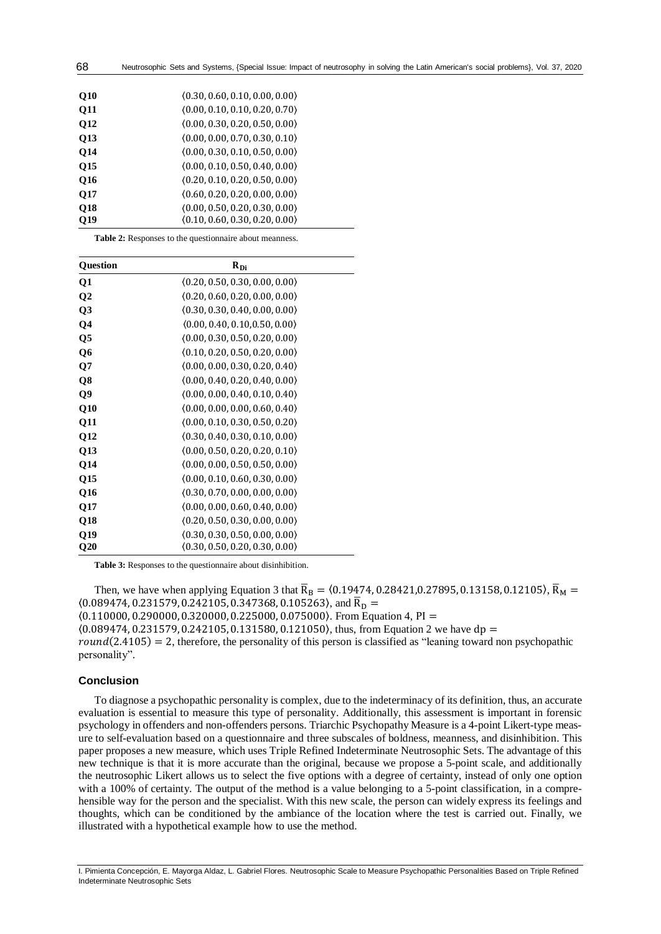| <b>O10</b> | (0.30, 0.60, 0.10, 0.00, 0.00) |
|------------|--------------------------------|
| <b>Q11</b> | (0.00, 0.10, 0.10, 0.20, 0.70) |
| Q12        | (0.00, 0.30, 0.20, 0.50, 0.00) |
| Q13        | (0.00, 0.00, 0.70, 0.30, 0.10) |
| <b>O14</b> | (0.00, 0.30, 0.10, 0.50, 0.00) |
| <b>O15</b> | (0.00, 0.10, 0.50, 0.40, 0.00) |
| <b>O16</b> | (0.20, 0.10, 0.20, 0.50, 0.00) |
| <b>O17</b> | (0.60, 0.20, 0.20, 0.00, 0.00) |
| <b>O18</b> | (0.00, 0.50, 0.20, 0.30, 0.00) |
| O19        | (0.10, 0.60, 0.30, 0.20, 0.00) |

68

**Table 2:** Responses to the questionnaire about meanness.

| <b>Question</b> | $R_{Di}$                       |
|-----------------|--------------------------------|
| Q1              | (0.20, 0.50, 0.30, 0.00, 0.00) |
| $\overline{O2}$ | (0.20, 0.60, 0.20, 0.00, 0.00) |
| Q3              | (0.30, 0.30, 0.40, 0.00, 0.00) |
| Q4              | (0.00, 0.40, 0.10, 0.50, 0.00) |
| Q5              | (0.00, 0.30, 0.50, 0.20, 0.00) |
| Q6              | (0.10, 0.20, 0.50, 0.20, 0.00) |
| Q7              | (0.00, 0.00, 0.30, 0.20, 0.40) |
| Q8              | (0.00, 0.40, 0.20, 0.40, 0.00) |
| Q9              | (0.00, 0.00, 0.40, 0.10, 0.40) |
| Q10             | (0.00, 0.00, 0.00, 0.60, 0.40) |
| <b>Q11</b>      | (0.00, 0.10, 0.30, 0.50, 0.20) |
| <b>O12</b>      | (0.30, 0.40, 0.30, 0.10, 0.00) |
| Q13             | (0.00, 0.50, 0.20, 0.20, 0.10) |
| <b>O14</b>      | (0.00, 0.00, 0.50, 0.50, 0.00) |
| Q15             | (0.00, 0.10, 0.60, 0.30, 0.00) |
| Q16             | (0.30, 0.70, 0.00, 0.00, 0.00) |
| Q17             | (0.00, 0.00, 0.60, 0.40, 0.00) |
| Q18             | (0.20, 0.50, 0.30, 0.00, 0.00) |
| O19             | (0.30, 0.30, 0.50, 0.00, 0.00) |
| $\mathbf{Q}20$  | (0.30, 0.50, 0.20, 0.30, 0.00) |

**Table 3:** Responses to the questionnaire about disinhibition.

Then, we have when applying Equation 3 that  $\bar{R}_B = (0.19474, 0.28421, 0.27895, 0.13158, 0.12105)$ ,  $\bar{R}_M =$  $(0.089474, 0.231579, 0.242105, 0.347368, 0.105263)$ , and  $\bar{R}_{D} =$  $(0.110000, 0.290000, 0.320000, 0.225000, 0.075000)$ . From Equation 4, PI =  $(0.089474, 0.231579, 0.242105, 0.131580, 0.121050)$ , thus, from Equation 2 we have dp =  $round(2.4105) = 2$ , therefore, the personality of this person is classified as "leaning toward non psychopathic personality".

#### **Conclusion**

To diagnose a psychopathic personality is complex, due to the indeterminacy of its definition, thus, an accurate evaluation is essential to measure this type of personality. Additionally, this assessment is important in forensic psychology in offenders and non-offenders persons. Triarchic Psychopathy Measure is a 4-point Likert-type measure to self-evaluation based on a questionnaire and three subscales of boldness, meanness, and disinhibition. This paper proposes a new measure, which uses Triple Refined Indeterminate Neutrosophic Sets. The advantage of this new technique is that it is more accurate than the original, because we propose a 5-point scale, and additionally the neutrosophic Likert allows us to select the five options with a degree of certainty, instead of only one option with a 100% of certainty. The output of the method is a value belonging to a 5-point classification, in a comprehensible way for the person and the specialist. With this new scale, the person can widely express its feelings and thoughts, which can be conditioned by the ambiance of the location where the test is carried out. Finally, we illustrated with a hypothetical example how to use the method.

I. Pimienta Concepción, E. Mayorga Aldaz, L. Gabriel Flores. Neutrosophic Scale to Measure Psychopathic Personalities Based on Triple Refined Indeterminate Neutrosophic Sets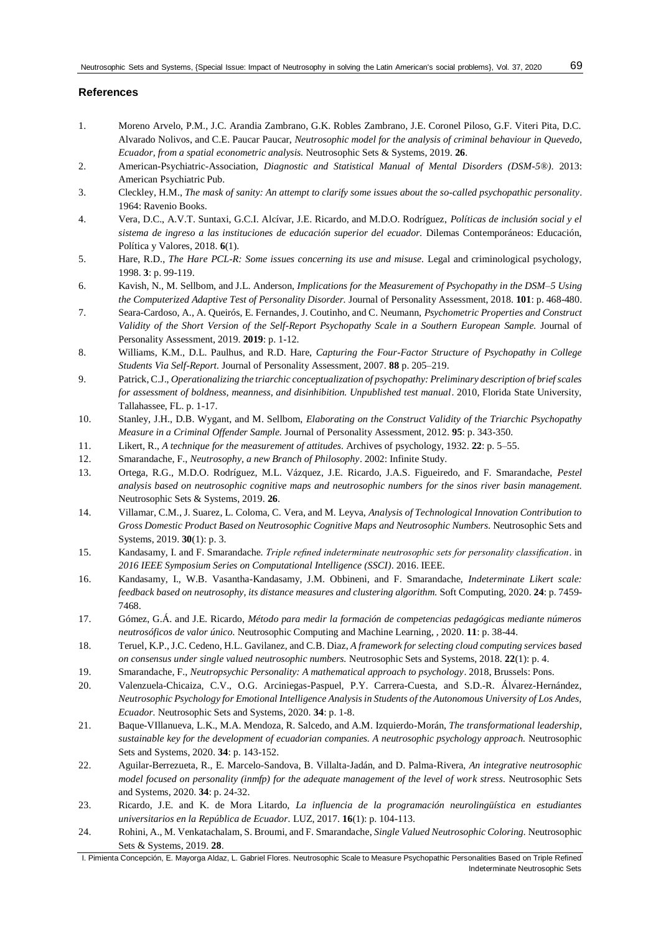### **References**

- 1. Moreno Arvelo, P.M., J.C. Arandia Zambrano, G.K. Robles Zambrano, J.E. Coronel Piloso, G.F. Viteri Pita, D.C. Alvarado Nolivos, and C.E. Paucar Paucar, *Neutrosophic model for the analysis of criminal behaviour in Quevedo, Ecuador, from a spatial econometric analysis.* Neutrosophic Sets & Systems, 2019. **26**.
- 2. American-Psychiatric-Association, *Diagnostic and Statistical Manual of Mental Disorders (DSM-5®).* 2013: American Psychiatric Pub.
- 3. Cleckley, H.M., *The mask of sanity: An attempt to clarify some issues about the so-called psychopathic personality*. 1964: Ravenio Books.
- 4. Vera, D.C., A.V.T. Suntaxi, G.C.I. Alcívar, J.E. Ricardo, and M.D.O. Rodríguez, *Políticas de inclusión social y el sistema de ingreso a las instituciones de educación superior del ecuador.* Dilemas Contemporáneos: Educación, Política y Valores, 2018. **6**(1).
- 5. Hare, R.D., *The Hare PCL-R: Some issues concerning its use and misuse.* Legal and criminological psychology, 1998. **3**: p. 99-119.
- 6. Kavish, N., M. Sellbom, and J.L. Anderson, *Implications for the Measurement of Psychopathy in the DSM–5 Using the Computerized Adaptive Test of Personality Disorder.* Journal of Personality Assessment, 2018. **101**: p. 468-480.
- 7. Seara-Cardoso, A., A. Queirós, E. Fernandes, J. Coutinho, and C. Neumann, *Psychometric Properties and Construct Validity of the Short Version of the Self-Report Psychopathy Scale in a Southern European Sample.* Journal of Personality Assessment, 2019. **2019**: p. 1-12.
- 8. Williams, K.M., D.L. Paulhus, and R.D. Hare, *Capturing the Four-Factor Structure of Psychopathy in College Students Via Self-Report.* Journal of Personality Assessment, 2007. **88** p. 205–219.
- 9. Patrick, C.J., *Operationalizing the triarchic conceptualization of psychopathy: Preliminary description of brief scales for assessment of boldness, meanness, and disinhibition. Unpublished test manual*. 2010, Florida State University, Tallahassee, FL. p. 1-17.
- 10. Stanley, J.H., D.B. Wygant, and M. Sellbom, *Elaborating on the Construct Validity of the Triarchic Psychopathy Measure in a Criminal Offender Sample.* Journal of Personality Assessment, 2012. **95**: p. 343-350.
- 11. Likert, R., *A technique for the measurement of attitudes.* Archives of psychology, 1932. **22**: p. 5–55.
- 12. Smarandache, F., *Neutrosophy, a new Branch of Philosophy*. 2002: Infinite Study.
- 13. Ortega, R.G., M.D.O. Rodríguez, M.L. Vázquez, J.E. Ricardo, J.A.S. Figueiredo, and F. Smarandache, *Pestel analysis based on neutrosophic cognitive maps and neutrosophic numbers for the sinos river basin management.* Neutrosophic Sets & Systems, 2019. **26**.
- 14. Villamar, C.M., J. Suarez, L. Coloma, C. Vera, and M. Leyva, *Analysis of Technological Innovation Contribution to Gross Domestic Product Based on Neutrosophic Cognitive Maps and Neutrosophic Numbers.* Neutrosophic Sets and Systems, 2019. **30**(1): p. 3.
- 15. Kandasamy, I. and F. Smarandache. *Triple refined indeterminate neutrosophic sets for personality classification*. in *2016 IEEE Symposium Series on Computational Intelligence (SSCI)*. 2016. IEEE.
- 16. Kandasamy, I., W.B. Vasantha-Kandasamy, J.M. Obbineni, and F. Smarandache, *Indeterminate Likert scale: feedback based on neutrosophy, its distance measures and clustering algorithm.* Soft Computing, 2020. **24**: p. 7459- 7468.
- 17. Gómez, G.Á. and J.E. Ricardo, *Método para medir la formación de competencias pedagógicas mediante números neutrosóficos de valor único.* Neutrosophic Computing and Machine Learning, , 2020. **11**: p. 38-44.
- 18. Teruel, K.P., J.C. Cedeno, H.L. Gavilanez, and C.B. Diaz, *A framework for selecting cloud computing services based on consensus under single valued neutrosophic numbers.* Neutrosophic Sets and Systems, 2018. **22**(1): p. 4.
- 19. Smarandache, F., *Neutropsychic Personality: A mathematical approach to psychology*. 2018, Brussels: Pons.
- 20. Valenzuela-Chicaiza, C.V., O.G. Arciniegas-Paspuel, P.Y. Carrera-Cuesta, and S.D.-R. Álvarez-Hernández, *Neutrosophic Psychology for Emotional Intelligence Analysis in Students of the Autonomous University of Los Andes, Ecuador.* Neutrosophic Sets and Systems, 2020. **34**: p. 1-8.
- 21. Baque-VIllanueva, L.K., M.A. Mendoza, R. Salcedo, and A.M. Izquierdo-Morán, *The transformational leadership, sustainable key for the development of ecuadorian companies. A neutrosophic psychology approach.* Neutrosophic Sets and Systems, 2020. **34**: p. 143-152.
- 22. Aguilar-Berrezueta, R., E. Marcelo-Sandova, B. Villalta-Jadán, and D. Palma-Rivera, *An integrative neutrosophic model focused on personality (inmfp) for the adequate management of the level of work stress.* Neutrosophic Sets and Systems, 2020. **34**: p. 24-32.
- 23. Ricardo, J.E. and K. de Mora Litardo, *La influencia de la programación neurolingüística en estudiantes universitarios en la República de Ecuador.* LUZ, 2017. **16**(1): p. 104-113.
- 24. Rohini, A., M. Venkatachalam, S. Broumi, and F. Smarandache, *Single Valued Neutrosophic Coloring.* Neutrosophic Sets & Systems, 2019. **28**.
- I. Pimienta Concepción, E. Mayorga Aldaz, L. Gabriel Flores. Neutrosophic Scale to Measure Psychopathic Personalities Based on Triple Refined Indeterminate Neutrosophic Sets